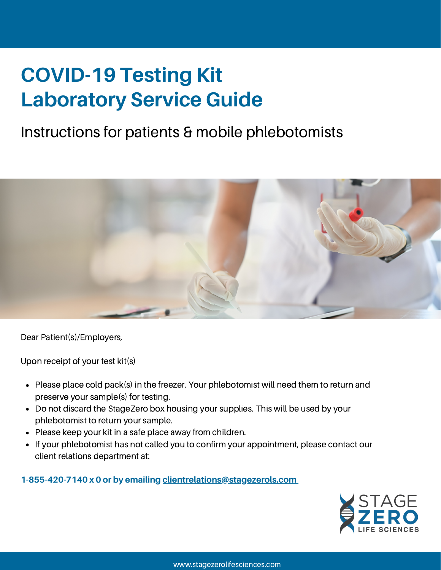# **COVID-19 Testing Kit Laboratory Service Guide**

## Instructions for patients & mobile phlebotomists



Dear Patient(s)/Employers,

Upon receipt of your test kit(s)

- Please place cold pack(s) in the freezer. Your phlebotomist will need them to return and  $\bullet$ preserve your sample(s) for testing.
- Do not discard the StageZero box housing your supplies. This will be used by your phlebotomist to return your sample.
- Please keep your kit in a safe place away from children.
- If your phlebotomist has not called you to confirm your appointment, please contact our  $\bullet$ client relations department at:

#### **1-855-420-7140 x 0 or by emailing [clientrelations@stagezerols.com](http://stagezerols.com/)**

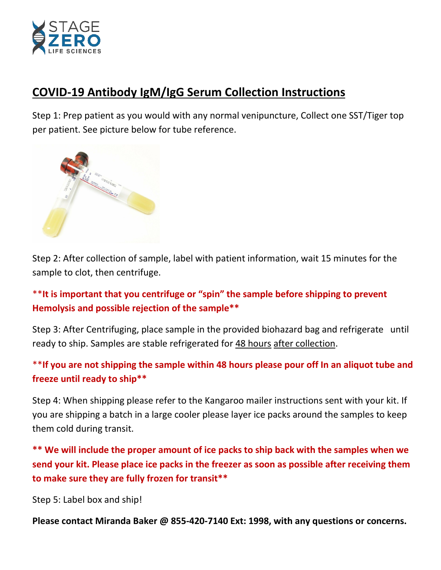

#### **COVID-19 Antibody IgM/IgG Serum Collection Instructions**

Step 1: Prep patient as you would with any normal venipuncture, Collect one SST/Tiger top per patient. See picture below for tube reference.



Step 2: After collection of sample, label with patient information, wait 15 minutes for the sample to clot, then centrifuge.

\*\***It is important that you centrifuge or "spin" the sample before shipping to prevent Hemolysis and possible rejection of the sample\*\***

Step 3: After Centrifuging, place sample in the provided biohazard bag and refrigerate until ready to ship. Samples are stable refrigerated for 48 hours after collection.

#### \*\***If you are not shipping the sample within 48 hours please pour off In an aliquot tube and freeze until ready to ship\*\***

Step 4: When shipping please refer to the Kangaroo mailer instructions sent with your kit. If you are shipping a batch in a large cooler please layer ice packs around the samples to keep them cold during transit.

**\*\* We will include the proper amount of ice packs to ship back with the samples when we send your kit. Please place ice packs in the freezer as soon as possible after receiving them to make sure they are fully frozen for transit\*\***

Step 5: Label box and ship!

**Please contact Miranda Baker @ 855-420-7140 Ext: 1998, with any questions or concerns.**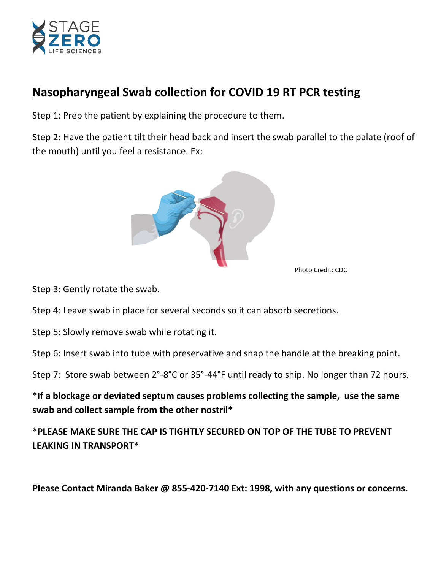

#### **Nasopharyngeal Swab collection for COVID 19 RT PCR testing**

Step 1: Prep the patient by explaining the procedure to them.

Step 2: Have the patient tilt their head back and insert the swab parallel to the palate (roof of the mouth) until you feel a resistance. Ex:



Photo Credit: CDC

Step 3: Gently rotate the swab.

Step 4: Leave swab in place for several seconds so it can absorb secretions.

Step 5: Slowly remove swab while rotating it.

Step 6: Insert swab into tube with preservative and snap the handle at the breaking point.

Step 7: Store swab between 2°-8°C or 35°-44°F until ready to ship. No longer than 72 hours.

**\*If a blockage or deviated septum causes problems collecting the sample, use the same swab and collect sample from the other nostril\***

**\*PLEASE MAKE SURE THE CAP IS TIGHTLY SECURED ON TOP OF THE TUBE TO PREVENT LEAKING IN TRANSPORT\*** 

**Please Contact Miranda Baker @ 855-420-7140 Ext: 1998, with any questions or concerns.**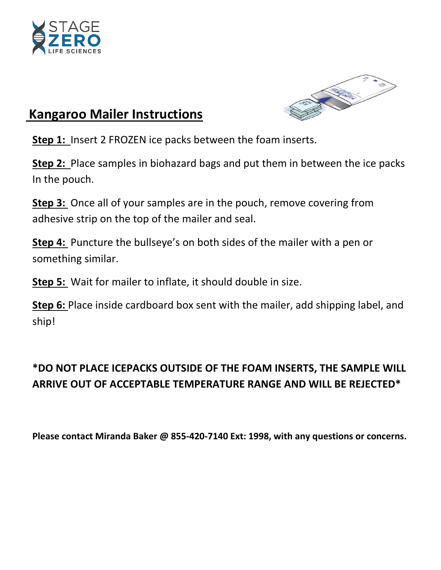



#### **Kangaroo Mailer Instructions**

**Step 1:** Insert 2 FROZEN ice packs between the foam inserts.

**Step 2:** Place samples in biohazard bags and put them in between the ice packs In the pouch.

**Step 3:** Once all of your samples are in the pouch, remove covering from adhesive strip on the top of the mailer and seal.

**Step 4:** Puncture the bullseye's on both sides of the mailer with a pen or something similar.

**Step 5:** Wait for mailer to inflate, it should double in size.

**Step 6:** Place inside cardboard box sent with the mailer, add shipping label, and ship!

#### **\*DO NOT PLACE ICEPACKS OUTSIDE OF THE FOAM INSERTS, THE SAMPLE WILL ARRIVE OUT OF ACCEPTABLE TEMPERATURE RANGE AND WILL BE REJECTED\***

**Please contact Miranda Baker @ 855-420-7140 Ext: 1998, with any questions or concerns.**